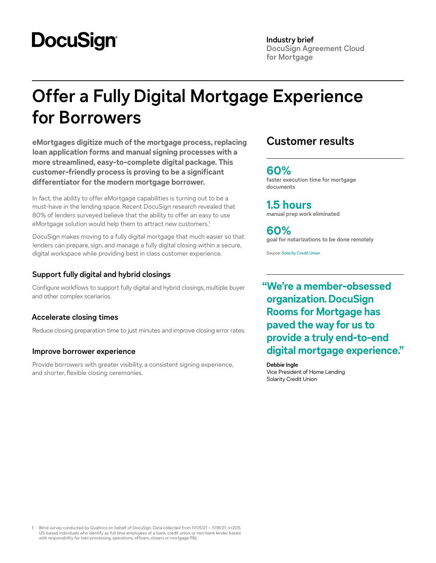# **DocuSign**

**Industry brief DocuSign Agreement Cloud for Mortgage**

# **Offer a Fully Digital Mortgage Experience for Borrowers**

**eMortgages digitize much of the mortgage process, replacing loan application forms and manual signing processes with a more streamlined, easy-to-complete digital package. This customer-friendly process is proving to be a significant differentiator for the modern mortgage borrower.**

In fact, the ability to offer eMortgage capabilities is turning out to be a must-have in the lending space. Recent DocuSign research revealed that 80% of lenders surveyed believe that the ability to offer an easy to use eMortgage solution would help them to attract new customers.<sup>1</sup>

DocuSign makes moving to a fully digital mortgage that much easier so that lenders can prepare, sign, and manage a fully digital closing within a secure, digital workspace while providing best in class customer experience.

## **Support fully digital and hybrid closings**

Configure workflows to support fully digital and hybrid closings, multiple buyer and other complex scenarios.

# **Accelerate closing times**

Reduce closing preparation time to just minutes and improve closing error rates.

### **Improve borrower experience**

Provide borrowers with greater visibility, a consistent signing experience, and shorter, flexible closing ceremonies.

# **Customer results**

## **60%**

**faster execution time for mortgage documents**

**1.5 hours manual prep work eliminated**

**60% goal for notarizations to be done remotely**

Source: [Solarity Credit Union](https://www.docusign.com/customer-stories/solarity-credit-union-provides-a-one-stop-shop-for-digital-mortgage-closings-with-docusign-and-mortgage-cadence)

**"We're a member-obsessed organization. DocuSign Rooms for Mortgage has paved the way for us to provide a truly end-to-end digital mortgage experience."**

**Debbie Ingle** Vice President of Home Lending Solarity Credit Union

1 Blind survey conducted by Qualtrics on behalf of DocuSign. Data collected from 11/05/21 – 11/16/21; n=205, US-based individuals who identify as full time employees of a bank, credit union, or non-bank lender based with responsibility for loan processing, operations, officers, closers or mortgage P&L